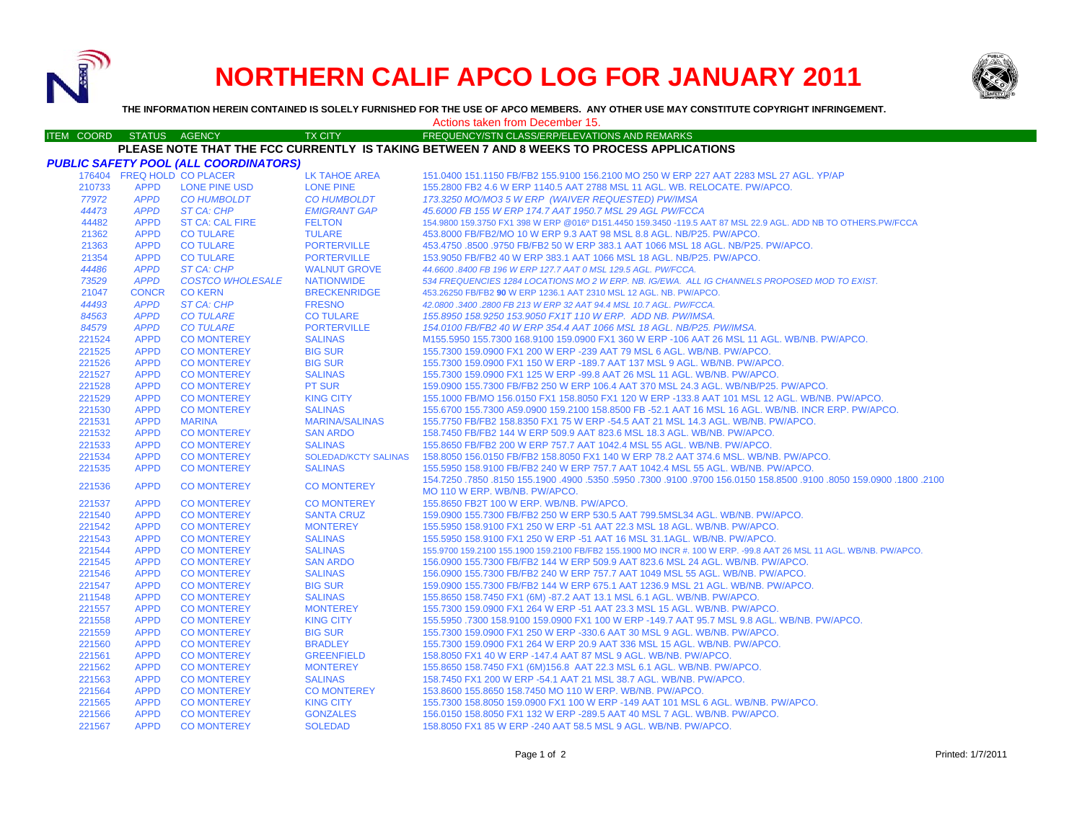

# **NORTHERN CALIF APCO LOG FOR JANUARY 2011**



**THE INFORMATION HEREIN CONTAINED IS SOLELY FURNISHED FOR THE USE OF APCO MEMBERS. ANY OTHER USE MAY CONSTITUTE COPYRIGHT INFRINGEMENT.**

#### Actions taken from December 15.

#### ITEM COORD STATUS AGENCY TX CITY TIREQUENCY/STN CLASS/ERP/ELEVATIONS AND REMARKS **PLEASE NOTE THAT THE FCC CURRENTLY IS TAKING BETWEEN 7 AND 8 WEEKS TO PROCESS APPLICATIONS**

|        |                            | <b>PUBLIC SAFETY POOL (ALL COORDINATORS)</b> |                             |                                                                                                                             |
|--------|----------------------------|----------------------------------------------|-----------------------------|-----------------------------------------------------------------------------------------------------------------------------|
|        | 176404 FREQ HOLD CO PLACER |                                              | LK TAHOE AREA               | 151.0400 151.1150 FB/FB2 155.9100 156.2100 MO 250 W ERP 227 AAT 2283 MSL 27 AGL. YP/AP                                      |
| 210733 | <b>APPD</b>                | <b>LONE PINE USD</b>                         | <b>LONE PINE</b>            | 155.2800 FB2 4.6 W ERP 1140.5 AAT 2788 MSL 11 AGL. WB. RELOCATE. PW/APCO.                                                   |
| 77972  | <b>APPD</b>                | <b>CO HUMBOLDT</b>                           | <b>CO HUMBOLDT</b>          | 173.3250 MO/MO3 5 W ERP (WAIVER REQUESTED) PW/IMSA                                                                          |
| 44473  | <b>APPD</b>                | ST CA: CHP                                   | <b>EMIGRANT GAP</b>         | 45,6000 FB 155 W ERP 174.7 AAT 1950.7 MSL 29 AGL PW/FCCA                                                                    |
| 44482  | <b>APPD</b>                | <b>ST CA: CAL FIRE</b>                       | <b>FELTON</b>               | 154.9800 159.3750 FX1 398 W ERP @016º D151.4450 159.3450 -119.5 AAT 87 MSL 22.9 AGL. ADD NB TO OTHERS.PW/FCCA               |
| 21362  | <b>APPD</b>                | <b>CO TULARE</b>                             | <b>TULARE</b>               | 453,8000 FB/FB2/MO 10 W ERP 9.3 AAT 98 MSL 8.8 AGL, NB/P25, PW/APCO.                                                        |
| 21363  | <b>APPD</b>                | <b>CO TULARE</b>                             | <b>PORTERVILLE</b>          | 453.4750 .8500 .9750 FB/FB2 50 W ERP 383.1 AAT 1066 MSL 18 AGL, NB/P25, PW/APCO,                                            |
| 21354  | <b>APPD</b>                | <b>CO TULARE</b>                             | <b>PORTERVILLE</b>          | 153.9050 FB/FB2 40 W ERP 383.1 AAT 1066 MSL 18 AGL. NB/P25. PW/APCO.                                                        |
| 44486  | <b>APPD</b>                | ST CA: CHP                                   | <b>WALNUT GROVE</b>         | 44.6600.8400 FB 196 W ERP 127.7 AAT 0 MSL 129.5 AGL. PW/FCCA.                                                               |
| 73529  | <b>APPD</b>                | <b>COSTCO WHOLESALE</b>                      | <b>NATIONWIDE</b>           | 534 FREQUENCIES 1284 LOCATIONS MO 2 W ERP. NB. IG/EWA. ALL IG CHANNELS PROPOSED MOD TO EXIST.                               |
| 21047  | <b>CONCR</b>               | <b>CO KERN</b>                               | <b>BRECKENRIDGE</b>         | 453.26250 FB/FB2 90 W ERP 1236.1 AAT 2310 MSL 12 AGL. NB. PW/APCO.                                                          |
| 44493  | <b>APPD</b>                | ST CA: CHP                                   | <b>FRESNO</b>               | 42.0800.3400.2800 FB 213 W ERP 32 AAT 94.4 MSL 10.7 AGL. PW/FCCA.                                                           |
| 84563  | <b>APPD</b>                | <b>CO TULARE</b>                             | <b>CO TULARE</b>            | 155,8950 158,9250 153,9050 FX1T 110 W ERP. ADD NB. PW/IMSA.                                                                 |
| 84579  | <b>APPD</b>                | <b>CO TULARE</b>                             | <b>PORTERVILLE</b>          | 154.0100 FB/FB2 40 W ERP 354.4 AAT 1066 MSL 18 AGL, NB/P25, PW/IMSA.                                                        |
| 221524 | <b>APPD</b>                | <b>CO MONTEREY</b>                           | <b>SALINAS</b>              | M155.5950 155.7300 168.9100 159.0900 FX1 360 W ERP -106 AAT 26 MSL 11 AGL, WB/NB, PW/APCO,                                  |
| 221525 | <b>APPD</b>                | <b>CO MONTEREY</b>                           | <b>BIG SUR</b>              | 155.7300 159.0900 FX1 200 W ERP -239 AAT 79 MSL 6 AGL, WB/NB, PW/APCO,                                                      |
| 221526 | <b>APPD</b>                | <b>CO MONTEREY</b>                           | <b>BIG SUR</b>              | 155.7300 159.0900 FX1 150 W ERP -189.7 AAT 137 MSL 9 AGL. WB/NB. PW/APCO.                                                   |
| 221527 | <b>APPD</b>                | <b>CO MONTEREY</b>                           | <b>SALINAS</b>              | 155.7300 159.0900 FX1 125 W ERP -99.8 AAT 26 MSL 11 AGL. WB/NB. PW/APCO.                                                    |
| 221528 | <b>APPD</b>                | <b>CO MONTEREY</b>                           | <b>PT SUR</b>               | 159,0900 155,7300 FB/FB2 250 W ERP 106.4 AAT 370 MSL 24.3 AGL, WB/NB/P25, PW/APCO,                                          |
| 221529 | <b>APPD</b>                | <b>CO MONTEREY</b>                           | <b>KING CITY</b>            | 155.1000 FB/MO 156.0150 FX1 158.8050 FX1 120 W ERP -133.8 AAT 101 MSL 12 AGL. WB/NB. PW/APCO.                               |
| 221530 | <b>APPD</b>                | <b>CO MONTEREY</b>                           | <b>SALINAS</b>              | 155.6700 155.7300 A59.0900 159.2100 158.8500 FB -52.1 AAT 16 MSL 16 AGL. WB/NB. INCR ERP. PW/APCO.                          |
| 221531 | <b>APPD</b>                | <b>MARINA</b>                                | <b>MARINA/SALINAS</b>       | 155,7750 FB/FB2 158,8350 FX1 75 W ERP -54,5 AAT 21 MSL 14.3 AGL, WB/NB, PW/APCO,                                            |
| 221532 | <b>APPD</b>                | <b>CO MONTEREY</b>                           | <b>SAN ARDO</b>             | 158.7450 FB/FB2 144 W ERP 509.9 AAT 823.6 MSL 18.3 AGL. WB/NB. PW/APCO.                                                     |
| 221533 | <b>APPD</b>                | <b>CO MONTEREY</b>                           | <b>SALINAS</b>              | 155.8650 FB/FB2 200 W ERP 757.7 AAT 1042.4 MSL 55 AGL. WB/NB. PW/APCO.                                                      |
| 221534 | <b>APPD</b>                | <b>CO MONTEREY</b>                           | <b>SOLEDAD/KCTY SALINAS</b> | 158,8050 156,0150 FB/FB2 158,8050 FX1 140 W ERP 78.2 AAT 374.6 MSL, WB/NB, PW/APCO,                                         |
| 221535 | <b>APPD</b>                | <b>CO MONTEREY</b>                           | <b>SALINAS</b>              | 155.5950 158.9100 FB/FB2 240 W ERP 757.7 AAT 1042.4 MSL 55 AGL. WB/NB. PW/APCO.                                             |
| 221536 | <b>APPD</b>                | <b>CO MONTEREY</b>                           | <b>CO MONTEREY</b>          | 1001. 1800. 1800. 154.7250 .050. 159.000. 156.0150 156.0150 .0700. 156.0150 .0570. 156.0150 .0850. 154.7250 .7850. 154.7250 |
|        |                            |                                              |                             | MO 110 W ERP. WB/NB. PW/APCO.                                                                                               |
| 221537 | <b>APPD</b>                | <b>CO MONTEREY</b>                           | <b>CO MONTEREY</b>          | 155,8650 FB2T 100 W ERP. WB/NB, PW/APCO.                                                                                    |
| 221540 | <b>APPD</b>                | <b>CO MONTEREY</b>                           | <b>SANTA CRUZ</b>           | 159,0900 155,7300 FB/FB2 250 W ERP 530.5 AAT 799,5MSL34 AGL, WB/NB, PW/APCO,                                                |
| 221542 | <b>APPD</b>                | <b>CO MONTEREY</b>                           | <b>MONTEREY</b>             | 155,5950 158,9100 FX1 250 W ERP -51 AAT 22.3 MSL 18 AGL, WB/NB, PW/APCO,                                                    |
| 221543 | <b>APPD</b>                | <b>CO MONTEREY</b>                           | <b>SALINAS</b>              | 155,5950 158,9100 FX1 250 W ERP -51 AAT 16 MSL 31,1AGL, WB/NB, PW/APCO,                                                     |
| 221544 | <b>APPD</b>                | <b>CO MONTEREY</b>                           | <b>SALINAS</b>              | 155.9700 159.2100 155.1900 159.2100 FB/FB2 155.1900 MO INCR #. 100 W ERP. -99.8 AAT 26 MSL 11 AGL. WB/NB. PW/APCO.          |
| 221545 | <b>APPD</b>                | <b>CO MONTEREY</b>                           | <b>SAN ARDO</b>             | 156,0900 155,7300 FB/FB2 144 W ERP 509.9 AAT 823.6 MSL 24 AGL, WB/NB, PW/APCO,                                              |
| 221546 | <b>APPD</b>                | <b>CO MONTEREY</b>                           | <b>SALINAS</b>              | 156,0900 155,7300 FB/FB2 240 W ERP 757,7 AAT 1049 MSL 55 AGL, WB/NB, PW/APCO,                                               |
| 221547 | <b>APPD</b>                | <b>CO MONTEREY</b>                           | <b>BIG SUR</b>              | 159.0900 155.7300 FB/FB2 144 W ERP 675.1 AAT 1236.9 MSL 21 AGL. WB/NB. PW/APCO.                                             |
| 211548 | <b>APPD</b>                | <b>CO MONTEREY</b>                           | <b>SALINAS</b>              | 155.8650 158.7450 FX1 (6M) -87.2 AAT 13.1 MSL 6.1 AGL. WB/NB. PW/APCO.                                                      |
| 221557 | <b>APPD</b>                | <b>CO MONTEREY</b>                           | <b>MONTEREY</b>             | 155.7300 159.0900 FX1 264 W ERP -51 AAT 23.3 MSL 15 AGL, WB/NB, PW/APCO,                                                    |
| 221558 | <b>APPD</b>                | <b>CO MONTEREY</b>                           | <b>KING CITY</b>            | 155.5950 .7300 158.9100 159.0900 FX1 100 W ERP -149.7 AAT 95.7 MSL 9.8 AGL. WB/NB. PW/APCO.                                 |
| 221559 | <b>APPD</b>                | <b>CO MONTEREY</b>                           | <b>BIG SUR</b>              | 155.7300 159.0900 FX1 250 W ERP -330.6 AAT 30 MSL 9 AGL, WB/NB, PW/APCO,                                                    |
| 221560 | <b>APPD</b>                | <b>CO MONTEREY</b>                           | <b>BRADLEY</b>              | 155.7300 159.0900 FX1 264 W ERP 20.9 AAT 336 MSL 15 AGL, WB/NB, PW/APCO,                                                    |
| 221561 | <b>APPD</b>                | <b>CO MONTEREY</b>                           | <b>GREENFIELD</b>           | 158,8050 FX1 40 W ERP -147.4 AAT 87 MSL 9 AGL, WB/NB, PW/APCO,                                                              |
| 221562 | <b>APPD</b>                | <b>CO MONTEREY</b>                           | <b>MONTEREY</b>             | 155.8650 158.7450 FX1 (6M)156.8 AAT 22.3 MSL 6.1 AGL. WB/NB. PW/APCO.                                                       |
| 221563 | <b>APPD</b>                | <b>CO MONTEREY</b>                           | <b>SALINAS</b>              | 158.7450 FX1 200 W ERP -54.1 AAT 21 MSL 38.7 AGL, WB/NB, PW/APCO,                                                           |
| 221564 | <b>APPD</b>                | <b>CO MONTEREY</b>                           | <b>CO MONTEREY</b>          | 153.8600 155.8650 158.7450 MO 110 W ERP. WB/NB. PW/APCO.                                                                    |
| 221565 | <b>APPD</b>                | <b>CO MONTEREY</b>                           | <b>KING CITY</b>            | 155.7300 158.8050 159.0900 FX1 100 W ERP -149 AAT 101 MSL 6 AGL. WB/NB. PW/APCO.                                            |
| 221566 | <b>APPD</b>                | <b>CO MONTEREY</b>                           | <b>GONZALES</b>             | 156,0150 158,8050 FX1 132 W ERP -289.5 AAT 40 MSL 7 AGL, WB/NB, PW/APCO,                                                    |
| 221567 | <b>APPD</b>                | <b>CO MONTEREY</b>                           | <b>SOLEDAD</b>              | 158.8050 FX1 85 W ERP -240 AAT 58.5 MSL 9 AGL. WB/NB. PW/APCO.                                                              |